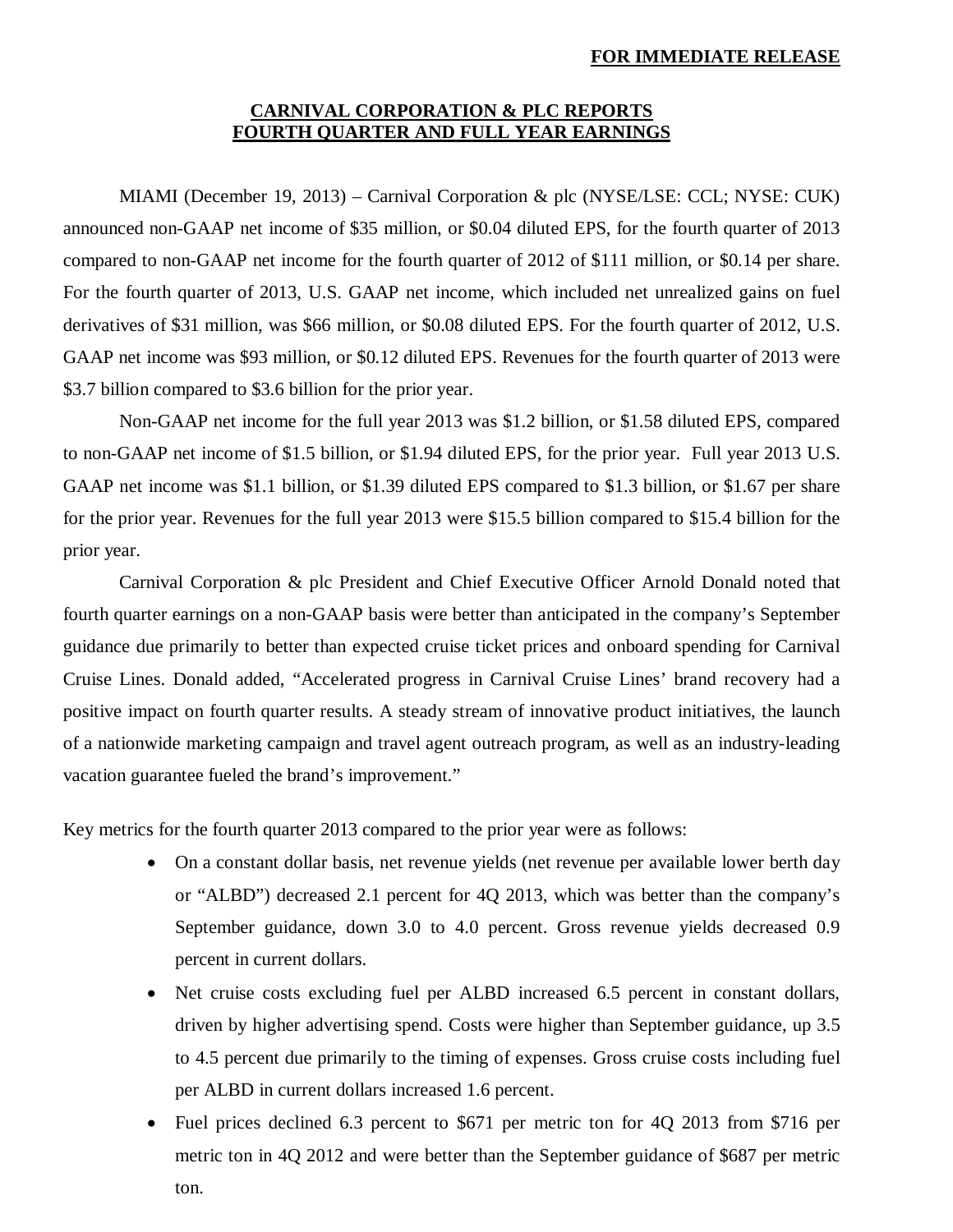#### **FOR IMMEDIATE RELEASE**

# **CARNIVAL CORPORATION & PLC REPORTS FOURTH QUARTER AND FULL YEAR EARNINGS**

MIAMI (December 19, 2013) – Carnival Corporation & plc (NYSE/LSE: CCL; NYSE: CUK) announced non-GAAP net income of \$35 million, or \$0.04 diluted EPS, for the fourth quarter of 2013 compared to non-GAAP net income for the fourth quarter of 2012 of \$111 million, or \$0.14 per share. For the fourth quarter of 2013, U.S. GAAP net income, which included net unrealized gains on fuel derivatives of \$31 million, was \$66 million, or \$0.08 diluted EPS. For the fourth quarter of 2012, U.S. GAAP net income was \$93 million, or \$0.12 diluted EPS. Revenues for the fourth quarter of 2013 were \$3.7 billion compared to \$3.6 billion for the prior year.

Non-GAAP net income for the full year 2013 was \$1.2 billion, or \$1.58 diluted EPS, compared to non-GAAP net income of \$1.5 billion, or \$1.94 diluted EPS, for the prior year. Full year 2013 U.S. GAAP net income was \$1.1 billion, or \$1.39 diluted EPS compared to \$1.3 billion, or \$1.67 per share for the prior year. Revenues for the full year 2013 were \$15.5 billion compared to \$15.4 billion for the prior year.

Carnival Corporation & plc President and Chief Executive Officer Arnold Donald noted that fourth quarter earnings on a non-GAAP basis were better than anticipated in the company's September guidance due primarily to better than expected cruise ticket prices and onboard spending for Carnival Cruise Lines. Donald added, "Accelerated progress in Carnival Cruise Lines' brand recovery had a positive impact on fourth quarter results. A steady stream of innovative product initiatives, the launch of a nationwide marketing campaign and travel agent outreach program, as well as an industry-leading vacation guarantee fueled the brand's improvement."

Key metrics for the fourth quarter 2013 compared to the prior year were as follows:

- On a constant dollar basis, net revenue yields (net revenue per available lower berth day or "ALBD") decreased 2.1 percent for 4Q 2013, which was better than the company's September guidance, down 3.0 to 4.0 percent. Gross revenue yields decreased 0.9 percent in current dollars.
- Net cruise costs excluding fuel per ALBD increased 6.5 percent in constant dollars, driven by higher advertising spend. Costs were higher than September guidance, up 3.5 to 4.5 percent due primarily to the timing of expenses. Gross cruise costs including fuel per ALBD in current dollars increased 1.6 percent.
- Fuel prices declined 6.3 percent to \$671 per metric ton for 4Q 2013 from \$716 per metric ton in 4Q 2012 and were better than the September guidance of \$687 per metric ton.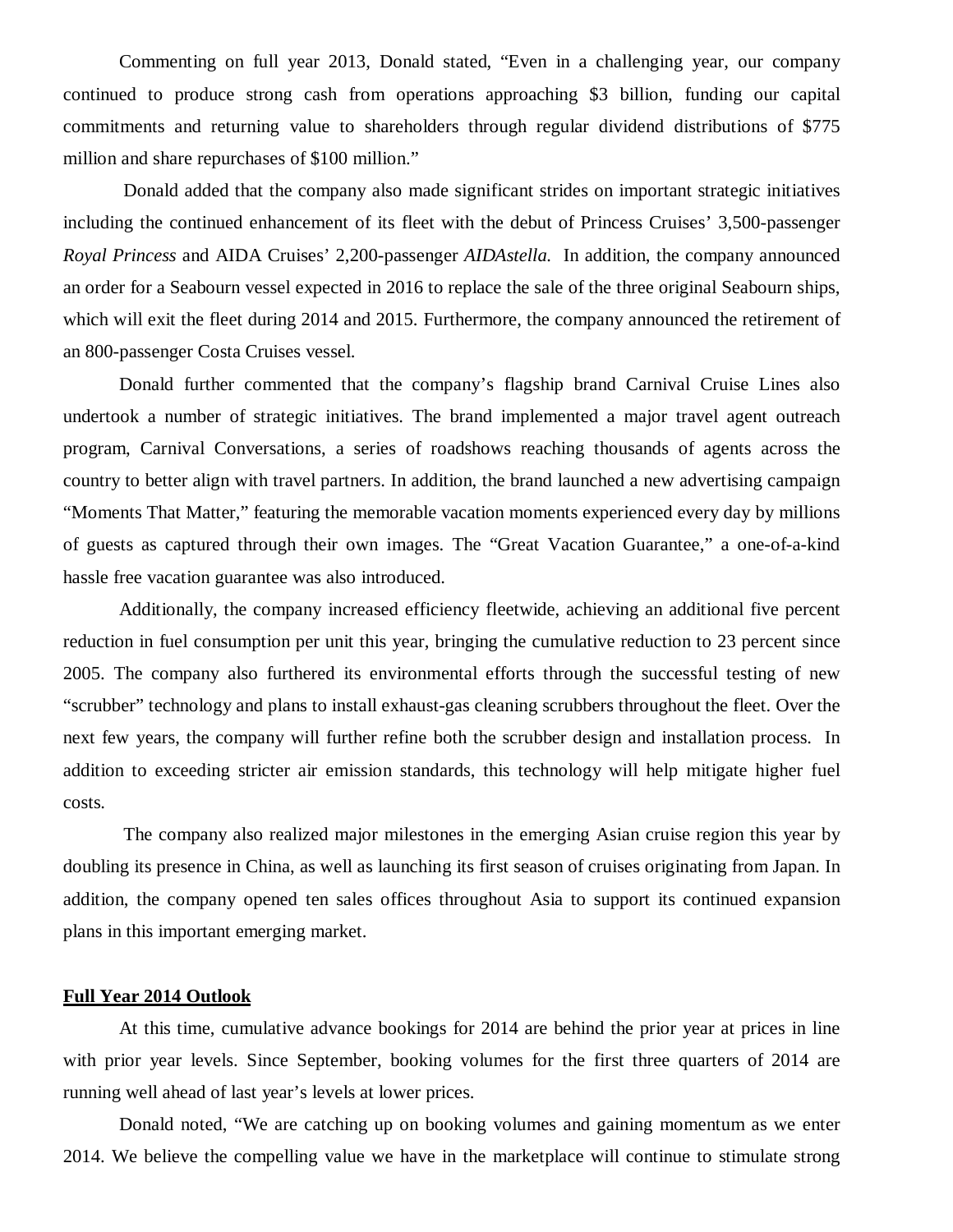Commenting on full year 2013, Donald stated, "Even in a challenging year, our company continued to produce strong cash from operations approaching \$3 billion, funding our capital commitments and returning value to shareholders through regular dividend distributions of \$775 million and share repurchases of \$100 million."

 Donald added that the company also made significant strides on important strategic initiatives including the continued enhancement of its fleet with the debut of Princess Cruises' 3,500-passenger *Royal Princess* and AIDA Cruises' 2,200-passenger *AIDAstella.* In addition, the company announced an order for a Seabourn vessel expected in 2016 to replace the sale of the three original Seabourn ships, which will exit the fleet during 2014 and 2015. Furthermore, the company announced the retirement of an 800-passenger Costa Cruises vessel.

Donald further commented that the company's flagship brand Carnival Cruise Lines also undertook a number of strategic initiatives. The brand implemented a major travel agent outreach program, Carnival Conversations, a series of roadshows reaching thousands of agents across the country to better align with travel partners. In addition, the brand launched a new advertising campaign "Moments That Matter," featuring the memorable vacation moments experienced every day by millions of guests as captured through their own images. The "Great Vacation Guarantee," a one-of-a-kind hassle free vacation guarantee was also introduced.

Additionally, the company increased efficiency fleetwide, achieving an additional five percent reduction in fuel consumption per unit this year, bringing the cumulative reduction to 23 percent since 2005. The company also furthered its environmental efforts through the successful testing of new "scrubber" technology and plans to install exhaust-gas cleaning scrubbers throughout the fleet. Over the next few years, the company will further refine both the scrubber design and installation process. In addition to exceeding stricter air emission standards, this technology will help mitigate higher fuel costs.

 The company also realized major milestones in the emerging Asian cruise region this year by doubling its presence in China, as well as launching its first season of cruises originating from Japan. In addition, the company opened ten sales offices throughout Asia to support its continued expansion plans in this important emerging market.

# **Full Year 2014 Outlook**

At this time, cumulative advance bookings for 2014 are behind the prior year at prices in line with prior year levels. Since September, booking volumes for the first three quarters of 2014 are running well ahead of last year's levels at lower prices.

Donald noted, "We are catching up on booking volumes and gaining momentum as we enter 2014. We believe the compelling value we have in the marketplace will continue to stimulate strong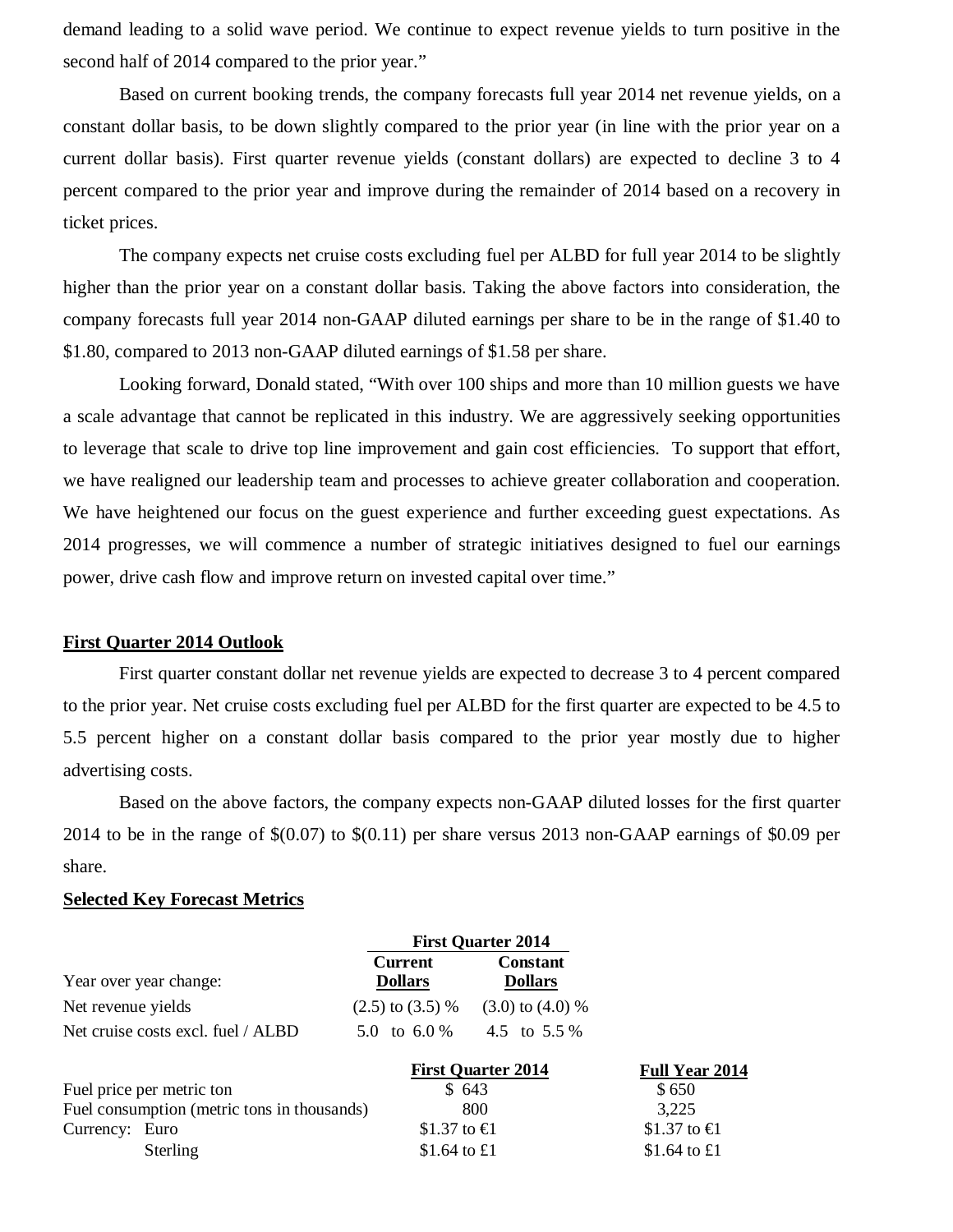demand leading to a solid wave period. We continue to expect revenue yields to turn positive in the second half of 2014 compared to the prior year."

Based on current booking trends, the company forecasts full year 2014 net revenue yields, on a constant dollar basis, to be down slightly compared to the prior year (in line with the prior year on a current dollar basis). First quarter revenue yields (constant dollars) are expected to decline 3 to 4 percent compared to the prior year and improve during the remainder of 2014 based on a recovery in ticket prices.

The company expects net cruise costs excluding fuel per ALBD for full year 2014 to be slightly higher than the prior year on a constant dollar basis. Taking the above factors into consideration, the company forecasts full year 2014 non-GAAP diluted earnings per share to be in the range of \$1.40 to \$1.80, compared to 2013 non-GAAP diluted earnings of \$1.58 per share.

Looking forward, Donald stated, "With over 100 ships and more than 10 million guests we have a scale advantage that cannot be replicated in this industry. We are aggressively seeking opportunities to leverage that scale to drive top line improvement and gain cost efficiencies. To support that effort, we have realigned our leadership team and processes to achieve greater collaboration and cooperation. We have heightened our focus on the guest experience and further exceeding guest expectations. As 2014 progresses, we will commence a number of strategic initiatives designed to fuel our earnings power, drive cash flow and improve return on invested capital over time."

## **First Quarter 2014 Outlook**

First quarter constant dollar net revenue yields are expected to decrease 3 to 4 percent compared to the prior year. Net cruise costs excluding fuel per ALBD for the first quarter are expected to be 4.5 to 5.5 percent higher on a constant dollar basis compared to the prior year mostly due to higher advertising costs.

Based on the above factors, the company expects non-GAAP diluted losses for the first quarter 2014 to be in the range of \$(0.07) to \$(0.11) per share versus 2013 non-GAAP earnings of \$0.09 per share.

# **Selected Key Forecast Metrics**

|                                             |                                  | <b>First Quarter 2014</b>         |                       |
|---------------------------------------------|----------------------------------|-----------------------------------|-----------------------|
| Year over year change:                      | <b>Current</b><br><b>Dollars</b> | <b>Constant</b><br><b>Dollars</b> |                       |
| Net revenue yields                          | $(2.5)$ to $(3.5)$ %             | $(3.0)$ to $(4.0)$ %              |                       |
| Net cruise costs excl. fuel / ALBD          | 5.0 to 6.0 $%$                   | 4.5 to 5.5 %                      |                       |
|                                             |                                  | <b>First Quarter 2014</b>         | <b>Full Year 2014</b> |
| Fuel price per metric ton                   | \$643                            |                                   | \$650                 |
| Fuel consumption (metric tons in thousands) |                                  | 800                               | 3,225                 |
| Currency: Euro                              | \$1.37 to €l                     |                                   | \$1.37 to €1          |
| Sterling                                    | \$1.64 to $\pounds1$             |                                   | \$1.64 to $£1$        |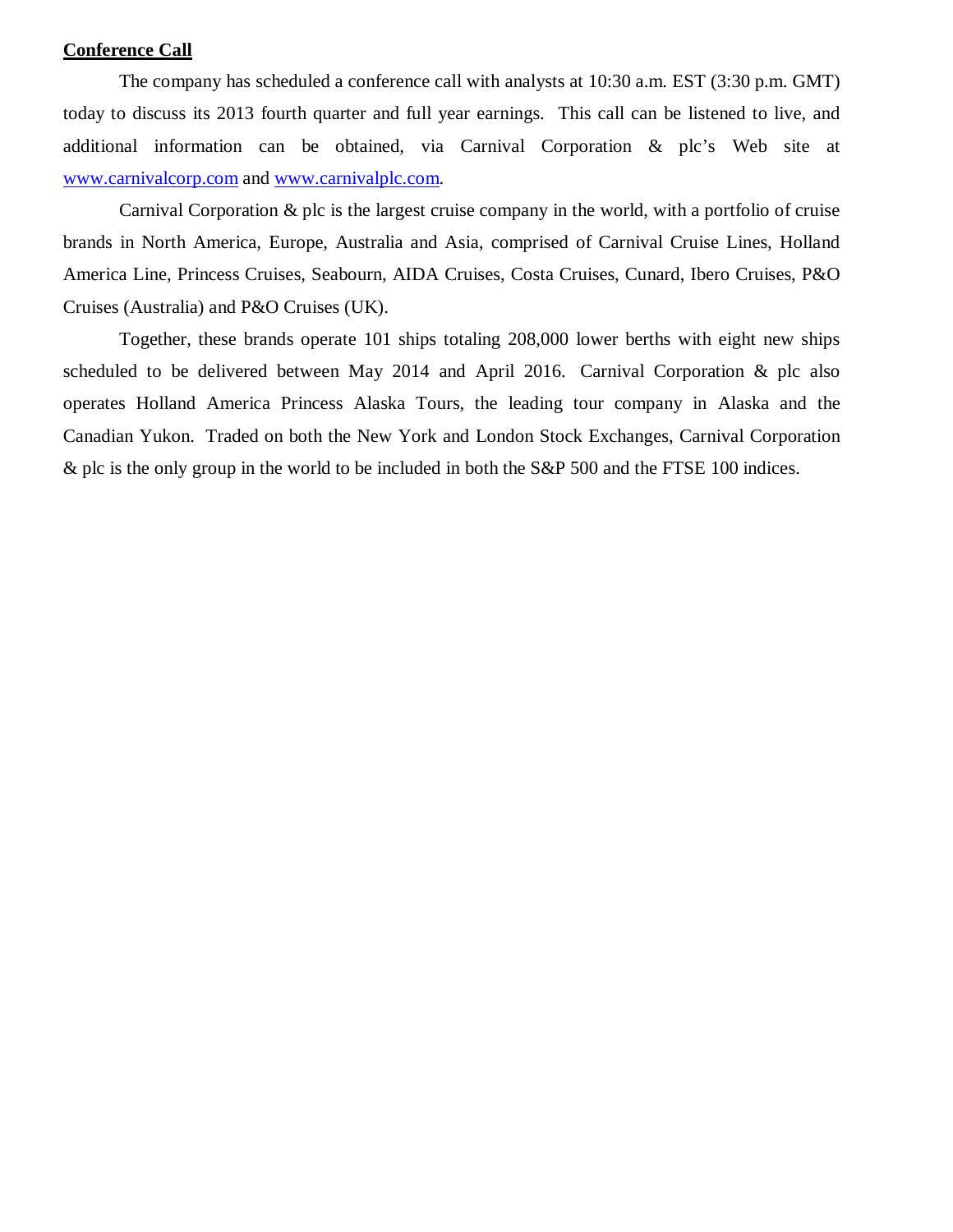### **Conference Call**

The company has scheduled a conference call with analysts at 10:30 a.m. EST (3:30 p.m. GMT) today to discuss its 2013 fourth quarter and full year earnings. This call can be listened to live, and additional information can be obtained, via Carnival Corporation & plc's Web site at www.carnivalcorp.com and www.carnivalplc.com.

Carnival Corporation & plc is the largest cruise company in the world, with a portfolio of cruise brands in North America, Europe, Australia and Asia, comprised of Carnival Cruise Lines, Holland America Line, Princess Cruises, Seabourn, AIDA Cruises, Costa Cruises, Cunard, Ibero Cruises, P&O Cruises (Australia) and P&O Cruises (UK).

Together, these brands operate 101 ships totaling 208,000 lower berths with eight new ships scheduled to be delivered between May 2014 and April 2016. Carnival Corporation & plc also operates Holland America Princess Alaska Tours, the leading tour company in Alaska and the Canadian Yukon. Traded on both the New York and London Stock Exchanges, Carnival Corporation & plc is the only group in the world to be included in both the S&P 500 and the FTSE 100 indices.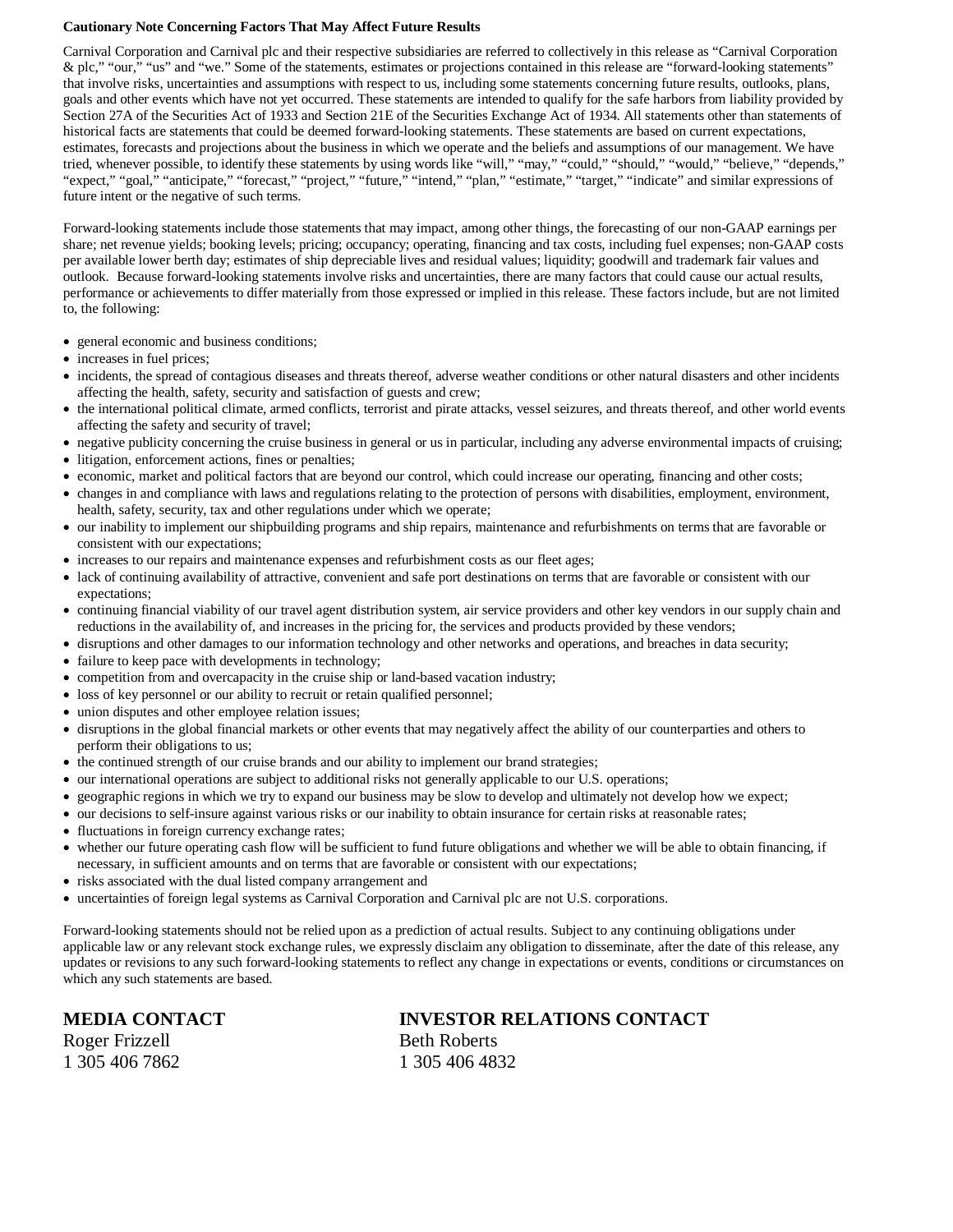#### **Cautionary Note Concerning Factors That May Affect Future Results**

Carnival Corporation and Carnival plc and their respective subsidiaries are referred to collectively in this release as "Carnival Corporation & plc," "our," "us" and "we." Some of the statements, estimates or projections contained in this release are "forward-looking statements" that involve risks, uncertainties and assumptions with respect to us, including some statements concerning future results, outlooks, plans, goals and other events which have not yet occurred. These statements are intended to qualify for the safe harbors from liability provided by Section 27A of the Securities Act of 1933 and Section 21E of the Securities Exchange Act of 1934. All statements other than statements of historical facts are statements that could be deemed forward-looking statements. These statements are based on current expectations, estimates, forecasts and projections about the business in which we operate and the beliefs and assumptions of our management. We have tried, whenever possible, to identify these statements by using words like "will," "may," "could," "should," "would," "believe," "depends," "expect," "goal," "anticipate," "forecast," "project," "future," "intend," "plan," "estimate," "target," "indicate" and similar expressions of future intent or the negative of such terms.

Forward-looking statements include those statements that may impact, among other things, the forecasting of our non-GAAP earnings per share; net revenue yields; booking levels; pricing; occupancy; operating, financing and tax costs, including fuel expenses; non-GAAP costs per available lower berth day; estimates of ship depreciable lives and residual values; liquidity; goodwill and trademark fair values and outlook. Because forward-looking statements involve risks and uncertainties, there are many factors that could cause our actual results, performance or achievements to differ materially from those expressed or implied in this release. These factors include, but are not limited to, the following:

- general economic and business conditions;
- increases in fuel prices;
- incidents, the spread of contagious diseases and threats thereof, adverse weather conditions or other natural disasters and other incidents affecting the health, safety, security and satisfaction of guests and crew;
- the international political climate, armed conflicts, terrorist and pirate attacks, vessel seizures, and threats thereof, and other world events affecting the safety and security of travel;
- negative publicity concerning the cruise business in general or us in particular, including any adverse environmental impacts of cruising;
- litigation, enforcement actions, fines or penalties;
- economic, market and political factors that are beyond our control, which could increase our operating, financing and other costs;
- changes in and compliance with laws and regulations relating to the protection of persons with disabilities, employment, environment, health, safety, security, tax and other regulations under which we operate;
- our inability to implement our shipbuilding programs and ship repairs, maintenance and refurbishments on terms that are favorable or consistent with our expectations;
- increases to our repairs and maintenance expenses and refurbishment costs as our fleet ages;
- lack of continuing availability of attractive, convenient and safe port destinations on terms that are favorable or consistent with our expectations;
- continuing financial viability of our travel agent distribution system, air service providers and other key vendors in our supply chain and reductions in the availability of, and increases in the pricing for, the services and products provided by these vendors;
- disruptions and other damages to our information technology and other networks and operations, and breaches in data security;
- failure to keep pace with developments in technology;
- competition from and overcapacity in the cruise ship or land-based vacation industry;
- loss of key personnel or our ability to recruit or retain qualified personnel;
- union disputes and other employee relation issues;
- disruptions in the global financial markets or other events that may negatively affect the ability of our counterparties and others to perform their obligations to us;
- the continued strength of our cruise brands and our ability to implement our brand strategies;
- our international operations are subject to additional risks not generally applicable to our U.S. operations;
- geographic regions in which we try to expand our business may be slow to develop and ultimately not develop how we expect;
- our decisions to self-insure against various risks or our inability to obtain insurance for certain risks at reasonable rates;
- fluctuations in foreign currency exchange rates;
- whether our future operating cash flow will be sufficient to fund future obligations and whether we will be able to obtain financing, if necessary, in sufficient amounts and on terms that are favorable or consistent with our expectations;
- risks associated with the dual listed company arrangement and
- uncertainties of foreign legal systems as Carnival Corporation and Carnival plc are not U.S. corporations.

Forward-looking statements should not be relied upon as a prediction of actual results. Subject to any continuing obligations under applicable law or any relevant stock exchange rules, we expressly disclaim any obligation to disseminate, after the date of this release, any updates or revisions to any such forward-looking statements to reflect any change in expectations or events, conditions or circumstances on which any such statements are based.

Roger Frizzell Beth Roberts 1 305 406 7862 1 305 406 4832

# **MEDIA CONTACT INVESTOR RELATIONS CONTACT**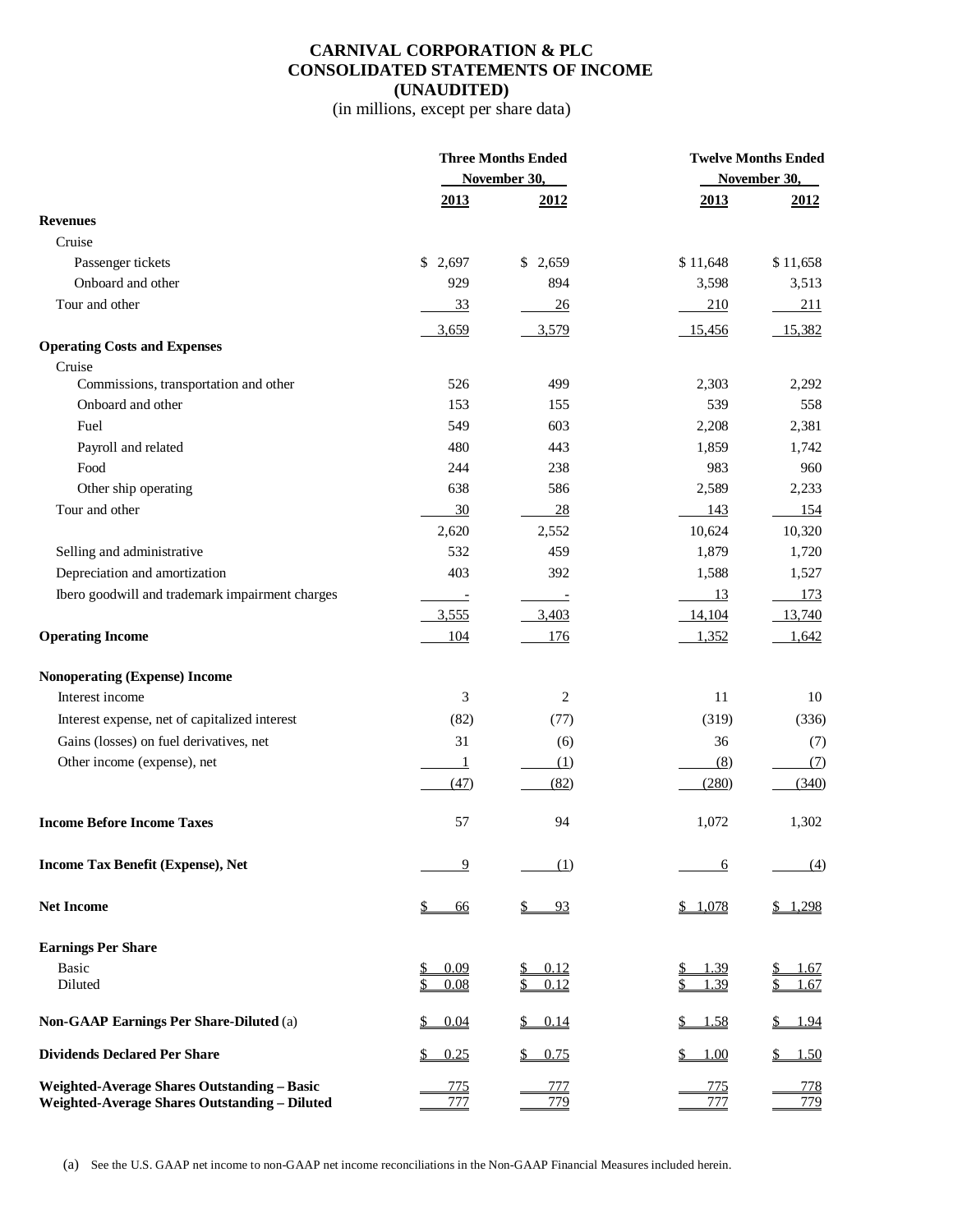# **CARNIVAL CORPORATION & PLC CONSOLIDATED STATEMENTS OF INCOME (UNAUDITED)**

(in millions, except per share data)

|                                                                                              | <b>Three Months Ended</b>       |                                         | <b>Twelve Months Ended</b> |                   |  |  |  |
|----------------------------------------------------------------------------------------------|---------------------------------|-----------------------------------------|----------------------------|-------------------|--|--|--|
|                                                                                              |                                 | November 30,                            |                            | November 30,      |  |  |  |
|                                                                                              | 2013                            | 2012                                    | 2013                       | 2012              |  |  |  |
| <b>Revenues</b>                                                                              |                                 |                                         |                            |                   |  |  |  |
| Cruise                                                                                       |                                 |                                         |                            |                   |  |  |  |
| Passenger tickets                                                                            | 2,697<br>\$                     | \$2,659                                 | \$11,648                   | \$11,658          |  |  |  |
| Onboard and other                                                                            | 929                             | 894                                     | 3,598                      | 3,513             |  |  |  |
| Tour and other                                                                               | 33                              | 26                                      | 210                        | 211               |  |  |  |
|                                                                                              | 3,659                           | 3,579                                   | 15,456                     | 15,382            |  |  |  |
| <b>Operating Costs and Expenses</b>                                                          |                                 |                                         |                            |                   |  |  |  |
| Cruise                                                                                       |                                 |                                         |                            |                   |  |  |  |
| Commissions, transportation and other                                                        | 526                             | 499                                     | 2,303                      | 2,292             |  |  |  |
| Onboard and other                                                                            | 153                             | 155                                     | 539                        | 558               |  |  |  |
| Fuel                                                                                         | 549                             | 603                                     | 2,208                      | 2,381             |  |  |  |
| Payroll and related                                                                          | 480                             | 443                                     | 1,859                      | 1,742             |  |  |  |
| Food                                                                                         | 244                             | 238                                     | 983                        | 960               |  |  |  |
| Other ship operating                                                                         | 638                             | 586                                     | 2,589                      | 2,233             |  |  |  |
| Tour and other                                                                               | 30                              | 28                                      | 143                        | 154               |  |  |  |
|                                                                                              | 2,620                           | 2,552                                   | 10,624                     | 10,320            |  |  |  |
| Selling and administrative                                                                   | 532                             | 459                                     | 1,879                      | 1,720             |  |  |  |
| Depreciation and amortization                                                                | 403                             | 392                                     | 1,588                      | 1,527             |  |  |  |
| Ibero goodwill and trademark impairment charges                                              | $\overline{\phantom{a}}$        |                                         | 13                         | <u>173</u>        |  |  |  |
|                                                                                              | 3,555                           | 3,403                                   | 14,104                     | 13,740            |  |  |  |
| <b>Operating Income</b>                                                                      | 104                             | 176                                     | 1,352                      | 1,642             |  |  |  |
| <b>Nonoperating (Expense) Income</b>                                                         |                                 |                                         |                            |                   |  |  |  |
| Interest income                                                                              | 3                               | 2                                       | 11                         | 10                |  |  |  |
| Interest expense, net of capitalized interest                                                | (82)                            | (77)                                    | (319)                      | (336)             |  |  |  |
| Gains (losses) on fuel derivatives, net                                                      | 31                              | (6)                                     | 36                         | (7)               |  |  |  |
| Other income (expense), net                                                                  | $\perp$                         | (1)                                     | (8)                        | (7)               |  |  |  |
|                                                                                              | (47)                            | (82)                                    | (280)                      | (340)             |  |  |  |
|                                                                                              |                                 |                                         |                            |                   |  |  |  |
| <b>Income Before Income Taxes</b>                                                            | 57                              | 94                                      | 1,072                      | 1,302             |  |  |  |
| Income Tax Benefit (Expense), Net                                                            | 9                               | (1)                                     | <u>6</u>                   | (4)               |  |  |  |
| <b>Net Income</b>                                                                            | \$<br><u>66</u>                 | $\frac{1}{2}$<br>93                     | \$1,078                    | \$1,298           |  |  |  |
| <b>Earnings Per Share</b>                                                                    |                                 |                                         |                            |                   |  |  |  |
| Basic                                                                                        | 0.09<br>\$                      | 0.12                                    | 1.39                       | 1.67              |  |  |  |
| Diluted                                                                                      | \$<br>0.08                      | 0.12                                    | 1.39                       | 1.67              |  |  |  |
| <b>Non-GAAP Earnings Per Share-Diluted (a)</b>                                               | $\overline{\mathbb{Z}}$<br>0.04 | 0.14<br>$\frac{\mathsf{S}}{\mathsf{S}}$ | <u>1.58</u><br><u>s.</u>   | \$ 1.94           |  |  |  |
| <b>Dividends Declared Per Share</b>                                                          | \$<br>0.25                      | 0.75                                    | 1.00                       | <u>1.50</u>       |  |  |  |
| Weighted-Average Shares Outstanding - Basic<br>Weighted-Average Shares Outstanding - Diluted | <u>775</u><br>777               | 777<br>779                              | <u>775</u><br>777          | <u>778</u><br>779 |  |  |  |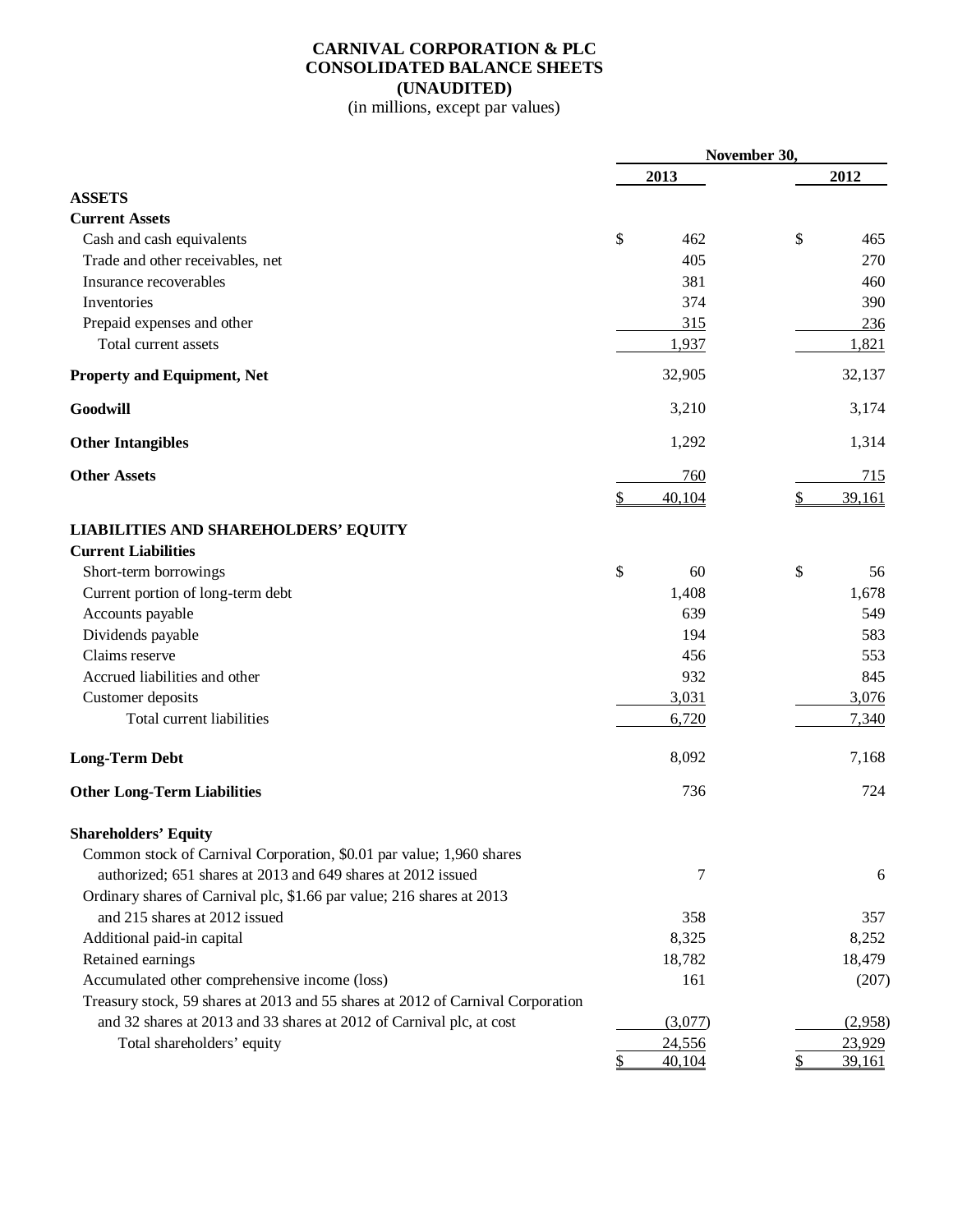# **CARNIVAL CORPORATION & PLC CONSOLIDATED BALANCE SHEETS (UNAUDITED)**

(in millions, except par values)

|                                                                                 |    | November 30, |               |         |  |
|---------------------------------------------------------------------------------|----|--------------|---------------|---------|--|
|                                                                                 |    | 2013         |               | 2012    |  |
| <b>ASSETS</b>                                                                   |    |              |               |         |  |
| <b>Current Assets</b>                                                           |    |              |               |         |  |
| Cash and cash equivalents                                                       | \$ | 462          | \$            | 465     |  |
| Trade and other receivables, net                                                |    | 405          |               | 270     |  |
| Insurance recoverables                                                          |    | 381          |               | 460     |  |
| Inventories                                                                     |    | 374          |               | 390     |  |
| Prepaid expenses and other                                                      |    | 315          |               | 236     |  |
| Total current assets                                                            |    | 1,937        |               | 1,821   |  |
| <b>Property and Equipment, Net</b>                                              |    | 32,905       |               | 32,137  |  |
| Goodwill                                                                        |    | 3,210        |               | 3,174   |  |
| <b>Other Intangibles</b>                                                        |    | 1,292        |               | 1,314   |  |
| <b>Other Assets</b>                                                             |    | 760          |               | 715     |  |
|                                                                                 | \$ | 40,104       | $\mathcal{S}$ | 39,161  |  |
| <b>LIABILITIES AND SHAREHOLDERS' EQUITY</b>                                     |    |              |               |         |  |
| <b>Current Liabilities</b>                                                      |    |              |               |         |  |
| Short-term borrowings                                                           | \$ | 60           | \$            | 56      |  |
| Current portion of long-term debt                                               |    | 1,408        |               | 1,678   |  |
| Accounts payable                                                                |    | 639          |               | 549     |  |
| Dividends payable                                                               |    | 194          |               | 583     |  |
| Claims reserve                                                                  |    | 456          |               | 553     |  |
| Accrued liabilities and other                                                   |    | 932          |               | 845     |  |
| Customer deposits                                                               |    | 3,031        |               | 3,076   |  |
| Total current liabilities                                                       |    | 6,720        |               | 7,340   |  |
| <b>Long-Term Debt</b>                                                           |    | 8,092        |               | 7,168   |  |
| <b>Other Long-Term Liabilities</b>                                              |    | 736          |               | 724     |  |
| <b>Shareholders' Equity</b>                                                     |    |              |               |         |  |
| Common stock of Carnival Corporation, \$0.01 par value; 1,960 shares            |    |              |               |         |  |
| authorized; 651 shares at 2013 and 649 shares at 2012 issued                    |    | 7            |               | 6       |  |
| Ordinary shares of Carnival plc, \$1.66 par value; 216 shares at 2013           |    |              |               |         |  |
| and 215 shares at 2012 issued                                                   |    | 358          |               | 357     |  |
| Additional paid-in capital                                                      |    | 8,325        |               | 8,252   |  |
| Retained earnings                                                               |    | 18,782       |               | 18,479  |  |
| Accumulated other comprehensive income (loss)                                   |    | 161          |               | (207)   |  |
| Treasury stock, 59 shares at 2013 and 55 shares at 2012 of Carnival Corporation |    |              |               |         |  |
| and 32 shares at 2013 and 33 shares at 2012 of Carnival plc, at cost            |    | (3,077)      |               | (2,958) |  |
| Total shareholders' equity                                                      |    | 24,556       |               | 23,929  |  |
|                                                                                 | S  | 40,104       | \$            | 39,161  |  |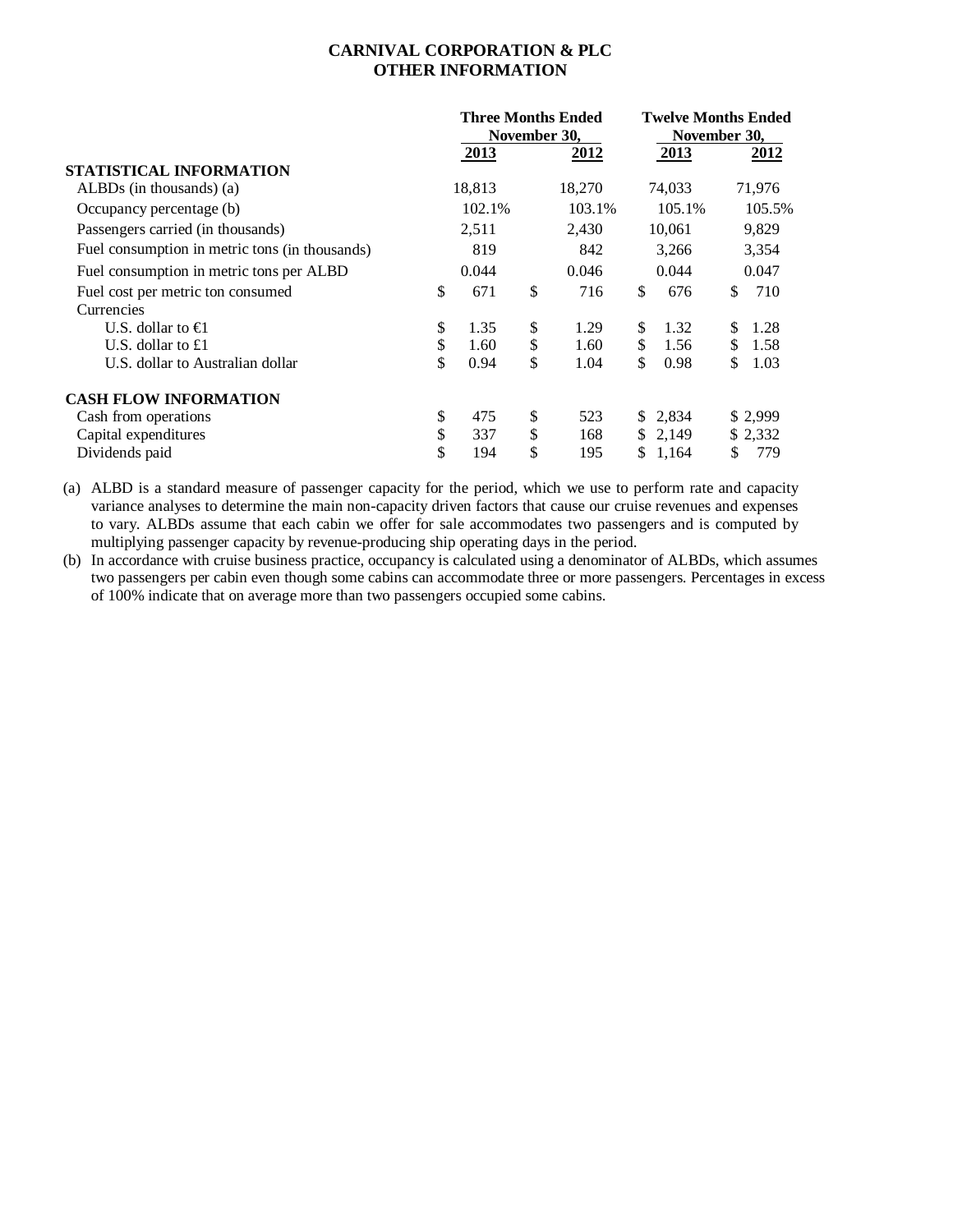# **CARNIVAL CORPORATION & PLC OTHER INFORMATION**

|                                                | <b>Three Months Ended</b><br>November 30, |    |        | <b>Twelve Months Ended</b><br>November 30, |         |    |          |
|------------------------------------------------|-------------------------------------------|----|--------|--------------------------------------------|---------|----|----------|
|                                                | 2013                                      |    | 2012   |                                            | 2013    |    | 2012     |
| STATISTICAL INFORMATION                        |                                           |    |        |                                            |         |    |          |
| ALBDs (in thousands) $(a)$                     | 18,813                                    |    | 18,270 |                                            | 74,033  |    | 71,976   |
| Occupancy percentage (b)                       | 102.1%                                    |    | 103.1% |                                            | 105.1%  |    | 105.5%   |
| Passengers carried (in thousands)              | 2,511                                     |    | 2,430  |                                            | 10,061  |    | 9,829    |
| Fuel consumption in metric tons (in thousands) | 819                                       |    | 842    |                                            | 3,266   |    | 3,354    |
| Fuel consumption in metric tons per ALBD       | 0.044                                     |    | 0.046  |                                            | 0.044   |    | 0.047    |
| Fuel cost per metric ton consumed              | \$<br>671                                 | \$ | 716    | \$                                         | 676     | \$ | 710      |
| Currencies                                     |                                           |    |        |                                            |         |    |          |
| U.S. dollar to $\bigoplus$                     | \$<br>1.35                                | \$ | 1.29   | \$                                         | 1.32    | \$ | 1.28     |
| U.S. dollar to $£1$                            | \$<br>1.60                                | \$ | 1.60   | \$                                         | 1.56    | \$ | 1.58     |
| U.S. dollar to Australian dollar               | \$<br>0.94                                | \$ | 1.04   | \$                                         | 0.98    | \$ | 1.03     |
| <b>CASH FLOW INFORMATION</b>                   |                                           |    |        |                                            |         |    |          |
| Cash from operations                           | \$<br>475                                 | \$ | 523    |                                            | \$2,834 |    | \$ 2,999 |
| Capital expenditures                           | \$<br>337                                 | \$ | 168    | \$                                         | 2,149   |    | \$2,332  |
| Dividends paid                                 | \$<br>194                                 | \$ | 195    | \$                                         | 1,164   | \$ | 779      |

(a) ALBD is a standard measure of passenger capacity for the period, which we use to perform rate and capacity variance analyses to determine the main non-capacity driven factors that cause our cruise revenues and expenses to vary. ALBDs assume that each cabin we offer for sale accommodates two passengers and is computed by multiplying passenger capacity by revenue-producing ship operating days in the period.

(b) In accordance with cruise business practice, occupancy is calculated using a denominator of ALBDs, which assumes two passengers per cabin even though some cabins can accommodate three or more passengers. Percentages in excess of 100% indicate that on average more than two passengers occupied some cabins.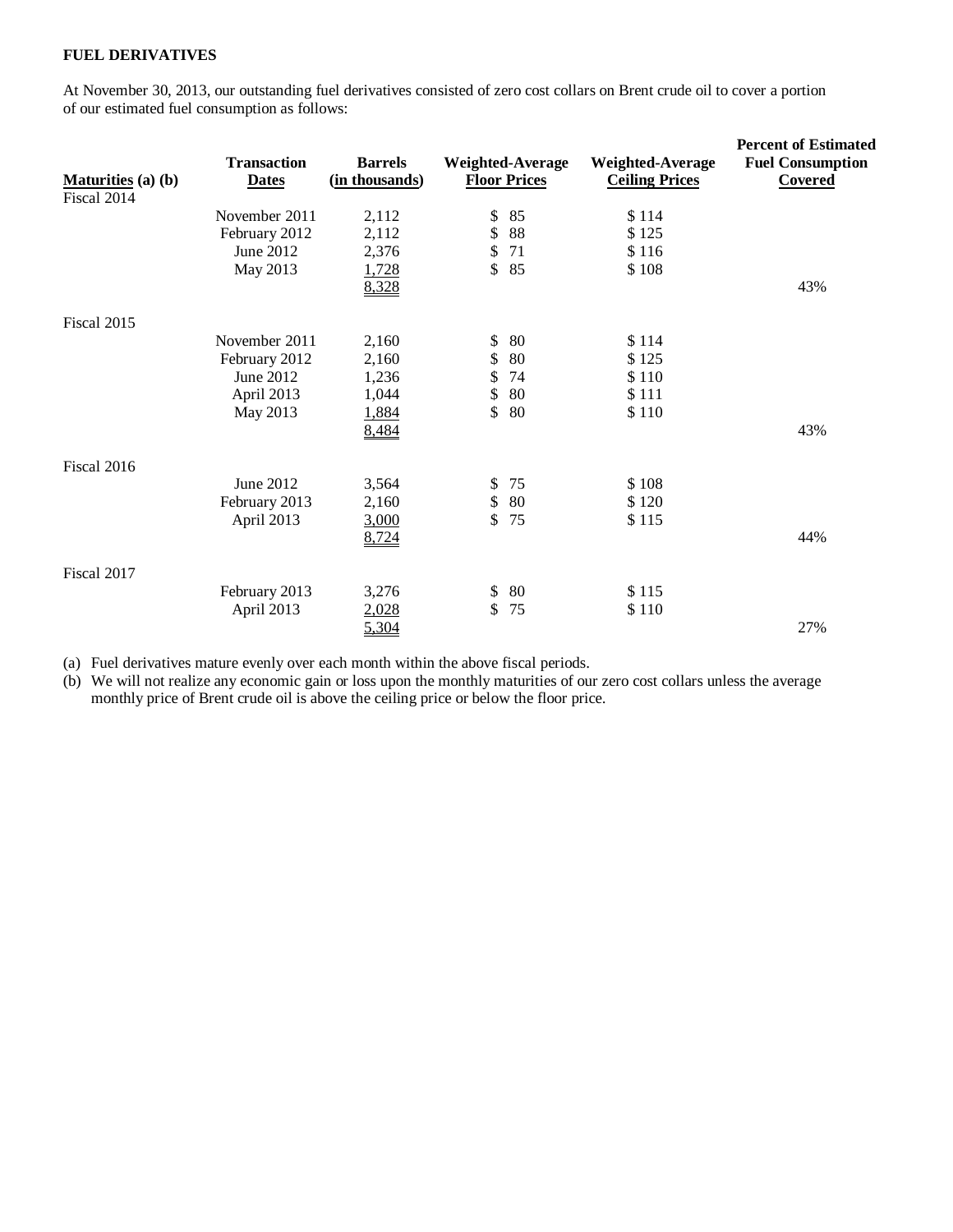# **FUEL DERIVATIVES**

At November 30, 2013, our outstanding fuel derivatives consisted of zero cost collars on Brent crude oil to cover a portion of our estimated fuel consumption as follows:

| <b>Maturities</b> (a) (b)<br>Fiscal 2014 | <b>Transaction</b><br><b>Dates</b> | <b>Barrels</b><br>(in thousands) | Weighted-Average<br><b>Floor Prices</b> | <b>Weighted-Average</b><br><b>Ceiling Prices</b> | <b>Percent of Estimated</b><br><b>Fuel Consumption</b><br>Covered |
|------------------------------------------|------------------------------------|----------------------------------|-----------------------------------------|--------------------------------------------------|-------------------------------------------------------------------|
|                                          | November 2011                      | 2,112                            | \$<br>85                                | \$114                                            |                                                                   |
|                                          | February 2012                      | 2,112                            | \$<br>88                                | \$125                                            |                                                                   |
|                                          | June 2012                          | 2,376                            | \$<br>71                                | \$116                                            |                                                                   |
|                                          | May 2013                           | 1,728                            | \$<br>85                                | \$108                                            |                                                                   |
|                                          |                                    | 8,328                            |                                         |                                                  | 43%                                                               |
| Fiscal 2015                              |                                    |                                  |                                         |                                                  |                                                                   |
|                                          | November 2011                      | 2,160                            | \$<br>80                                | \$114                                            |                                                                   |
|                                          | February 2012                      | 2,160                            | \$<br>80                                | \$125                                            |                                                                   |
|                                          | June 2012                          | 1,236                            | \$<br>74                                | \$110                                            |                                                                   |
|                                          | April 2013                         | 1,044                            | \$<br>80                                | \$111                                            |                                                                   |
|                                          | May 2013                           | 1,884                            | \$<br>80                                | \$110                                            |                                                                   |
|                                          |                                    | 8,484                            |                                         |                                                  | 43%                                                               |
| Fiscal 2016                              |                                    |                                  |                                         |                                                  |                                                                   |
|                                          | June 2012                          | 3,564                            | 75<br>\$                                | \$108                                            |                                                                   |
|                                          | February 2013                      | 2,160                            | \$<br>80                                | \$120                                            |                                                                   |
|                                          | April 2013                         | 3,000                            | \$<br>75                                | \$115                                            |                                                                   |
|                                          |                                    | 8,724                            |                                         |                                                  | 44%                                                               |
| Fiscal 2017                              |                                    |                                  |                                         |                                                  |                                                                   |
|                                          | February 2013                      | 3,276                            | \$<br>80                                | \$115                                            |                                                                   |
|                                          | April 2013                         | 2,028                            | \$<br>75                                | \$110                                            |                                                                   |
|                                          |                                    | 5,304                            |                                         |                                                  | 27%                                                               |

(a) Fuel derivatives mature evenly over each month within the above fiscal periods.

(b) We will not realize any economic gain or loss upon the monthly maturities of our zero cost collars unless the average monthly price of Brent crude oil is above the ceiling price or below the floor price.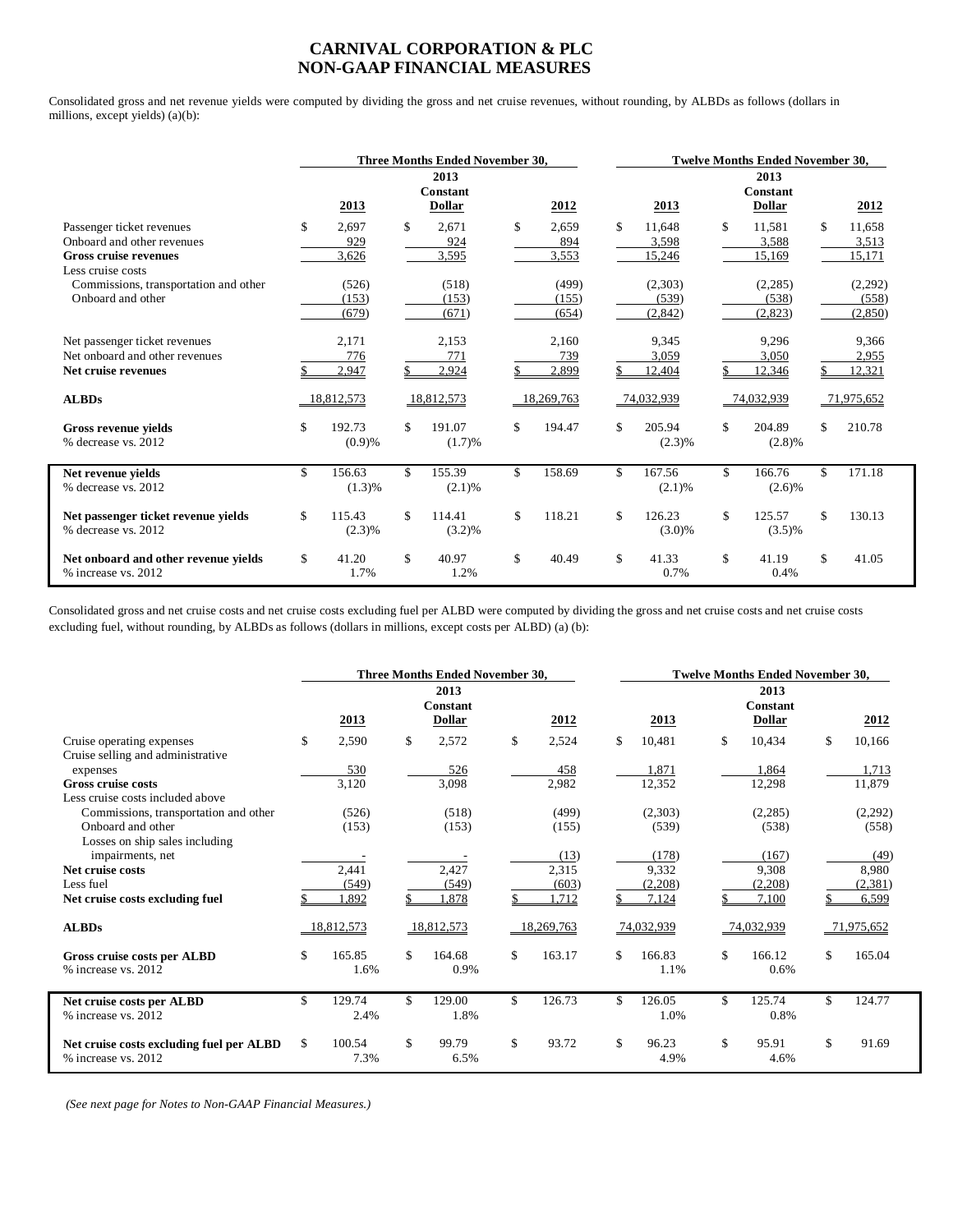#### **CARNIVAL CORPORATION & PLC NON-GAAP FINANCIAL MEASURES**

Consolidated gross and net revenue yields were computed by dividing the gross and net cruise revenues, without rounding, by ALBDs as follows (dollars in millions, except yields) (a)(b):

|                                                                                                              | <b>Three Months Ended November 30.</b> |                         |    |                            |    | <b>Twelve Months Ended November 30.</b> |    |                              |    |                                          |     |                             |
|--------------------------------------------------------------------------------------------------------------|----------------------------------------|-------------------------|----|----------------------------|----|-----------------------------------------|----|------------------------------|----|------------------------------------------|-----|-----------------------------|
|                                                                                                              |                                        | 2013                    |    | 2013<br>Constant<br>Dollar |    | 2012                                    |    | 2013                         |    | 2013<br><b>Constant</b><br><b>Dollar</b> |     | 2012                        |
| Passenger ticket revenues<br>Onboard and other revenues<br><b>Gross cruise revenues</b><br>Less cruise costs | \$                                     | 2.697<br>929<br>3,626   | \$ | 2.671<br>924<br>3,595      | \$ | 2.659<br>894<br>3,553                   | \$ | 11.648<br>3,598<br>15,246    | \$ | 11.581<br>3,588<br>15,169                | \$. | 11,658<br>3,513<br>15,171   |
| Commissions, transportation and other<br>Onboard and other                                                   |                                        | (526)<br>(153)<br>(679) |    | (518)<br>(153)<br>(671)    |    | (499)<br>(155)<br>(654)                 |    | (2,303)<br>(539)<br>(2, 842) |    | (2,285)<br>(538)<br>(2,823)              |     | (2,292)<br>(558)<br>(2,850) |
| Net passenger ticket revenues<br>Net onboard and other revenues<br>Net cruise revenues                       |                                        | 2,171<br>776<br>2,947   |    | 2,153<br>771<br>2,924      |    | 2,160<br>739<br>2,899                   |    | 9,345<br>3,059<br>12,404     |    | 9,296<br>3,050<br>12,346                 |     | 9.366<br>2,955<br>12,321    |
| <b>ALBDs</b>                                                                                                 |                                        | 18,812,573              |    | 18,812,573                 |    | 18,269,763                              |    | 74,032,939                   |    | 74,032,939                               |     | 71,975,652                  |
| <b>Gross revenue vields</b><br>% decrease vs. 2012                                                           | \$                                     | 192.73<br>(0.9)%        | \$ | 191.07<br>(1.7)%           | \$ | 194.47                                  | \$ | 205.94<br>$(2.3)\%$          | \$ | 204.89<br>$(2.8)\%$                      | \$. | 210.78                      |
| Net revenue vields<br>% decrease vs. 2012                                                                    | \$                                     | 156.63<br>(1.3)%        | \$ | 155.39<br>(2.1)%           | \$ | 158.69                                  | \$ | 167.56<br>(2.1)%             | \$ | 166.76<br>(2.6)%                         | \$. | 171.18                      |
| Net passenger ticket revenue yields<br>% decrease vs. 2012                                                   | \$                                     | 115.43<br>(2.3)%        | \$ | 114.41<br>(3.2)%           | \$ | 118.21                                  | \$ | 126.23<br>$(3.0)\%$          | \$ | 125.57<br>$(3.5)\%$                      | \$. | 130.13                      |
| Net onboard and other revenue yields<br>% increase vs. 2012                                                  | \$                                     | 41.20<br>1.7%           | \$ | 40.97<br>1.2%              | \$ | 40.49                                   | \$ | 41.33<br>0.7%                | \$ | 41.19<br>0.4%                            | \$. | 41.05                       |

Consolidated gross and net cruise costs and net cruise costs excluding fuel per ALBD were computed by dividing the gross and net cruise costs and net cruise costs excluding fuel, without rounding, by ALBDs as follows (dollars in millions, except costs per ALBD) (a) (b):

|                                                                 | <b>Three Months Ended November 30.</b> |                |    |                                          |    | <b>Twelve Months Ended November 30.</b> |    |                |    |                                   |    |            |
|-----------------------------------------------------------------|----------------------------------------|----------------|----|------------------------------------------|----|-----------------------------------------|----|----------------|----|-----------------------------------|----|------------|
|                                                                 |                                        | 2013           |    | 2013<br><b>Constant</b><br><b>Dollar</b> |    | 2012                                    |    | 2013           |    | 2013<br>Constant<br><b>Dollar</b> |    | 2012       |
| Cruise operating expenses<br>Cruise selling and administrative  | \$                                     | 2,590          | \$ | 2,572                                    | \$ | 2,524                                   | \$ | 10,481         | \$ | 10,434                            | \$ | 10,166     |
| expenses                                                        |                                        | 530            |    | <u>526</u>                               |    | 458                                     |    | 1,871          |    | 1,864                             |    | 1,713      |
| <b>Gross cruise costs</b><br>Less cruise costs included above   |                                        | 3,120          |    | 3,098                                    |    | 2,982                                   |    | 12,352         |    | 12,298                            |    | 11,879     |
| Commissions, transportation and other                           |                                        | (526)          |    | (518)                                    |    | (499)                                   |    | (2,303)        |    | (2,285)                           |    | (2,292)    |
| Onboard and other                                               |                                        | (153)          |    | (153)                                    |    | (155)                                   |    | (539)          |    | (538)                             |    | (558)      |
| Losses on ship sales including                                  |                                        |                |    |                                          |    |                                         |    |                |    |                                   |    |            |
| impairments, net                                                |                                        |                |    |                                          |    | (13)                                    |    | (178)          |    | (167)                             |    | (49)       |
| Net cruise costs                                                |                                        | 2,441          |    | 2,427                                    |    | 2,315                                   |    | 9,332          |    | 9,308                             |    | 8,980      |
| Less fuel                                                       |                                        | (549)          |    | (549)                                    |    | (603)                                   |    | (2,208)        |    | (2,208)                           |    | (2, 381)   |
| Net cruise costs excluding fuel                                 |                                        | ,892           |    | .878                                     |    | .712                                    |    | 7,124          |    | 7,100                             |    | 6,599      |
| <b>ALBDs</b>                                                    |                                        | 18,812,573     |    | 18,812,573                               |    | 18,269,763                              |    | 74,032,939     |    | 74,032,939                        |    | 71,975,652 |
| Gross cruise costs per ALBD<br>% increase vs. 2012              | \$                                     | 165.85<br>1.6% | \$ | 164.68<br>0.9%                           | \$ | 163.17                                  | \$ | 166.83<br>1.1% | \$ | 166.12<br>0.6%                    | \$ | 165.04     |
| Net cruise costs per ALBD<br>% increase vs. 2012                | \$                                     | 129.74<br>2.4% | \$ | 129.00<br>1.8%                           | \$ | 126.73                                  | \$ | 126.05<br>1.0% | \$ | 125.74<br>0.8%                    | \$ | 124.77     |
| Net cruise costs excluding fuel per ALBD<br>% increase vs. 2012 | \$                                     | 100.54<br>7.3% | \$ | 99.79<br>6.5%                            | \$ | 93.72                                   | \$ | 96.23<br>4.9%  | \$ | 95.91<br>4.6%                     | \$ | 91.69      |

 *(See next page for Notes to Non-GAAP Financial Measures.)*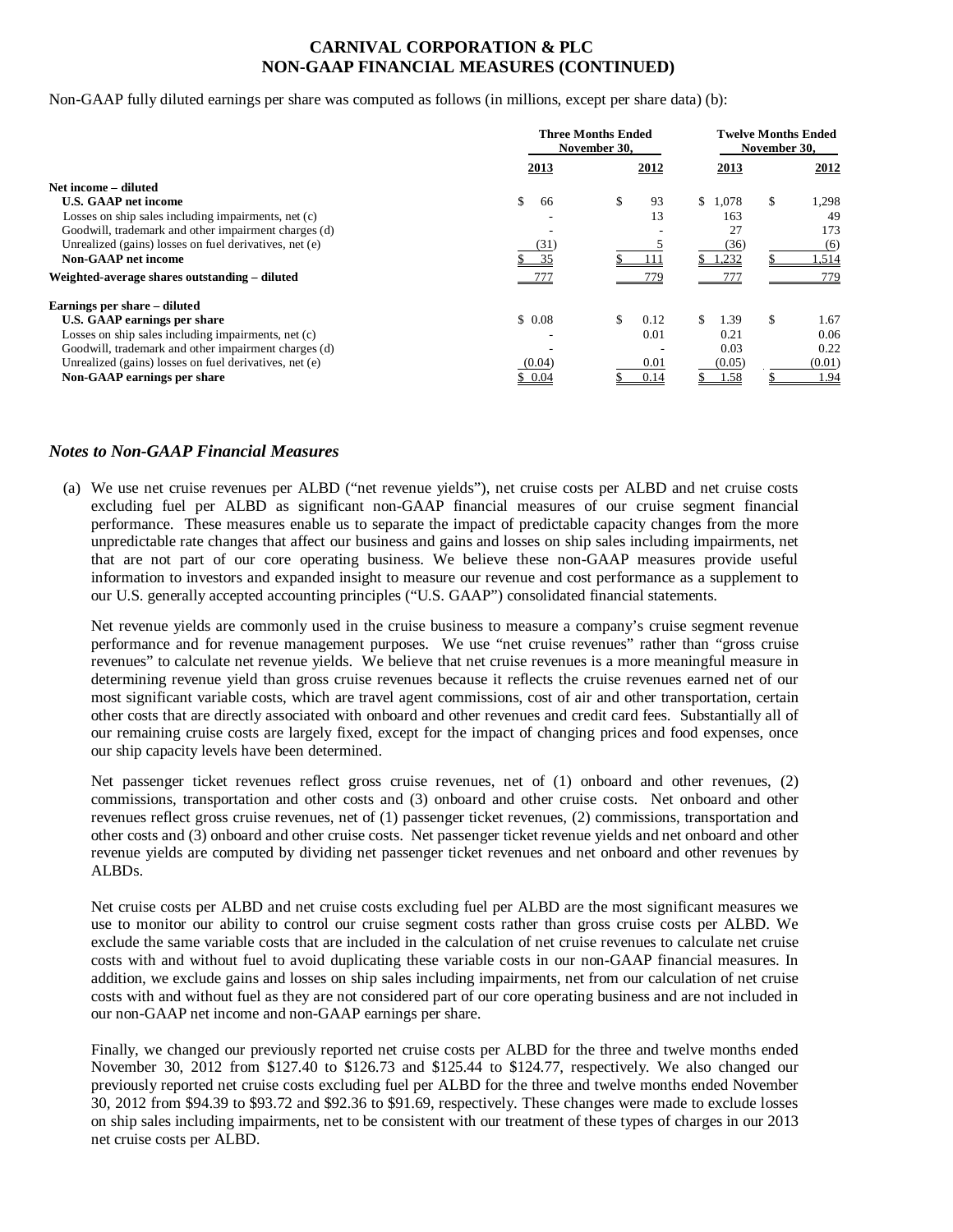### **CARNIVAL CORPORATION & PLC NON-GAAP FINANCIAL MEASURES (CONTINUED)**

Non-GAAP fully diluted earnings per share was computed as follows (in millions, except per share data) (b):

|                                                        | <b>Three Months Ended</b><br>November 30. | <b>Twelve Months Ended</b><br>November 30. |            |             |  |  |
|--------------------------------------------------------|-------------------------------------------|--------------------------------------------|------------|-------------|--|--|
|                                                        | 2013                                      | 2012                                       | 2013       | 2012        |  |  |
| Net income – diluted                                   |                                           |                                            |            |             |  |  |
| <b>U.S. GAAP net income</b>                            | \$<br>66                                  | \$<br>93                                   | \$1.078    | 1,298<br>\$ |  |  |
| Losses on ship sales including impairments, net (c)    |                                           | 13                                         | 163        | 49          |  |  |
| Goodwill, trademark and other impairment charges (d)   |                                           |                                            | 27         | 173         |  |  |
| Unrealized (gains) losses on fuel derivatives, net (e) | (31)                                      |                                            | (36)       | (6)         |  |  |
| <b>Non-GAAP</b> net income                             | 35                                        |                                            | 1,232      | .514        |  |  |
| Weighted-average shares outstanding – diluted          | -777                                      | 779                                        | 777        | 779         |  |  |
| Earnings per share – diluted                           |                                           |                                            |            |             |  |  |
| U.S. GAAP earnings per share                           | \$0.08                                    | \$<br>0.12                                 | \$<br>1.39 | 1.67<br>\$  |  |  |
| Losses on ship sales including impairments, net (c)    |                                           | 0.01                                       | 0.21       | 0.06        |  |  |
| Goodwill, trademark and other impairment charges (d)   |                                           |                                            | 0.03       | 0.22        |  |  |
| Unrealized (gains) losses on fuel derivatives, net (e) | (0.04)                                    | 0.01                                       | (0.05)     | (0.01)      |  |  |
| Non-GAAP earnings per share                            | \$0.04                                    | 0.14                                       | 1.58       | 1.94        |  |  |

#### *Notes to Non-GAAP Financial Measures*

(a) We use net cruise revenues per ALBD ("net revenue yields"), net cruise costs per ALBD and net cruise costs excluding fuel per ALBD as significant non-GAAP financial measures of our cruise segment financial performance. These measures enable us to separate the impact of predictable capacity changes from the more unpredictable rate changes that affect our business and gains and losses on ship sales including impairments, net that are not part of our core operating business. We believe these non-GAAP measures provide useful information to investors and expanded insight to measure our revenue and cost performance as a supplement to our U.S. generally accepted accounting principles ("U.S. GAAP") consolidated financial statements.

Net revenue yields are commonly used in the cruise business to measure a company's cruise segment revenue performance and for revenue management purposes. We use "net cruise revenues" rather than "gross cruise revenues" to calculate net revenue yields. We believe that net cruise revenues is a more meaningful measure in determining revenue yield than gross cruise revenues because it reflects the cruise revenues earned net of our most significant variable costs, which are travel agent commissions, cost of air and other transportation, certain other costs that are directly associated with onboard and other revenues and credit card fees. Substantially all of our remaining cruise costs are largely fixed, except for the impact of changing prices and food expenses, once our ship capacity levels have been determined.

Net passenger ticket revenues reflect gross cruise revenues, net of (1) onboard and other revenues, (2) commissions, transportation and other costs and (3) onboard and other cruise costs. Net onboard and other revenues reflect gross cruise revenues, net of (1) passenger ticket revenues, (2) commissions, transportation and other costs and (3) onboard and other cruise costs. Net passenger ticket revenue yields and net onboard and other revenue yields are computed by dividing net passenger ticket revenues and net onboard and other revenues by ALBDs.

Net cruise costs per ALBD and net cruise costs excluding fuel per ALBD are the most significant measures we use to monitor our ability to control our cruise segment costs rather than gross cruise costs per ALBD. We exclude the same variable costs that are included in the calculation of net cruise revenues to calculate net cruise costs with and without fuel to avoid duplicating these variable costs in our non-GAAP financial measures. In addition, we exclude gains and losses on ship sales including impairments, net from our calculation of net cruise costs with and without fuel as they are not considered part of our core operating business and are not included in our non-GAAP net income and non-GAAP earnings per share.

Finally, we changed our previously reported net cruise costs per ALBD for the three and twelve months ended November 30, 2012 from \$127.40 to \$126.73 and \$125.44 to \$124.77, respectively. We also changed our previously reported net cruise costs excluding fuel per ALBD for the three and twelve months ended November 30, 2012 from \$94.39 to \$93.72 and \$92.36 to \$91.69, respectively. These changes were made to exclude losses on ship sales including impairments, net to be consistent with our treatment of these types of charges in our 2013 net cruise costs per ALBD.